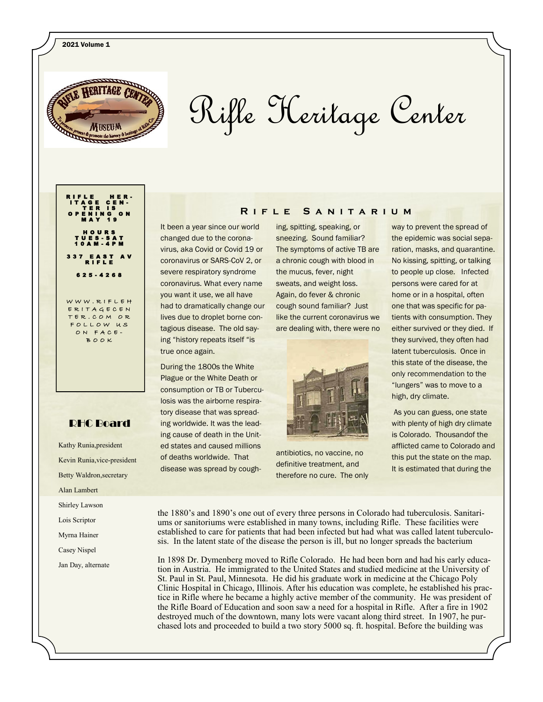

# Rifle Heritage Center

#### T E R I S O P E N I N G O N M A Y 1 9 H O U R S T U E S - S A T 1 0 A M - 4 P M 3 3 7 E A S T A V R I F L E 625 - 4268

RIFLE HER-I T A G E C E N -

W W W . R I F L E H E R I T A G E C E N ER. COM OR F O L L O W U S ON FACE BOOK

### RHC Board

Kathy Runia,president Kevin Runia,vice-president Betty Waldron,secretary Alan Lambert Shirley Lawson Lois Scriptor Myrna Hainer Casey Nispel Jan Day, alternate

#### It been a year since our world changed due to the coronavirus, aka Covid or Covid 19 or coronavirus or SARS-CoV 2, or severe respiratory syndrome coronavirus. What every name you want it use, we all have had to dramatically change our lives due to droplet borne contagious disease. The old saying "history repeats itself "is true once again.

During the 1800s the White Plague or the White Death or consumption or TB or Tuberculosis was the airborne respiratory disease that was spreading worldwide. It was the leading cause of death in the United states and caused millions of deaths worldwide. That disease was spread by coughing, spitting, speaking, or sneezing. Sound familiar? The symptoms of active TB are a chronic cough with blood in the mucus, fever, night sweats, and weight loss. Again, do fever & chronic cough sound familiar? Just like the current coronavirus we are dealing with, there were no

**R i f l e S a n i t a r i u m**



antibiotics, no vaccine, no definitive treatment, and therefore no cure. The only

way to prevent the spread of the epidemic was social separation, masks, and quarantine. No kissing, spitting, or talking to people up close. Infected persons were cared for at home or in a hospital, often one that was specific for patients with consumption. They either survived or they died. If they survived, they often had latent tuberculosis. Once in this state of the disease, the only recommendation to the "lungers" was to move to a high, dry climate.

As you can guess, one state with plenty of high dry climate is Colorado. Thousandof the afflicted came to Colorado and this put the state on the map. It is estimated that during the

the 1880's and 1890's one out of every three persons in Colorado had tuberculosis. Sanitariums or sanitoriums were established in many towns, including Rifle. These facilities were established to care for patients that had been infected but had what was called latent tuberculosis. In the latent state of the disease the person is ill, but no longer spreads the bacterium

In 1898 Dr. Dymenberg moved to Rifle Colorado. He had been born and had his early education in Austria. He immigrated to the United States and studied medicine at the University of St. Paul in St. Paul, Minnesota. He did his graduate work in medicine at the Chicago Poly Clinic Hospital in Chicago, Illinois. After his education was complete, he established his practice in Rifle where he became a highly active member of the community. He was president of the Rifle Board of Education and soon saw a need for a hospital in Rifle. After a fire in 1902 destroyed much of the downtown, many lots were vacant along third street. In 1907, he purchased lots and proceeded to build a two story 5000 sq. ft. hospital. Before the building was